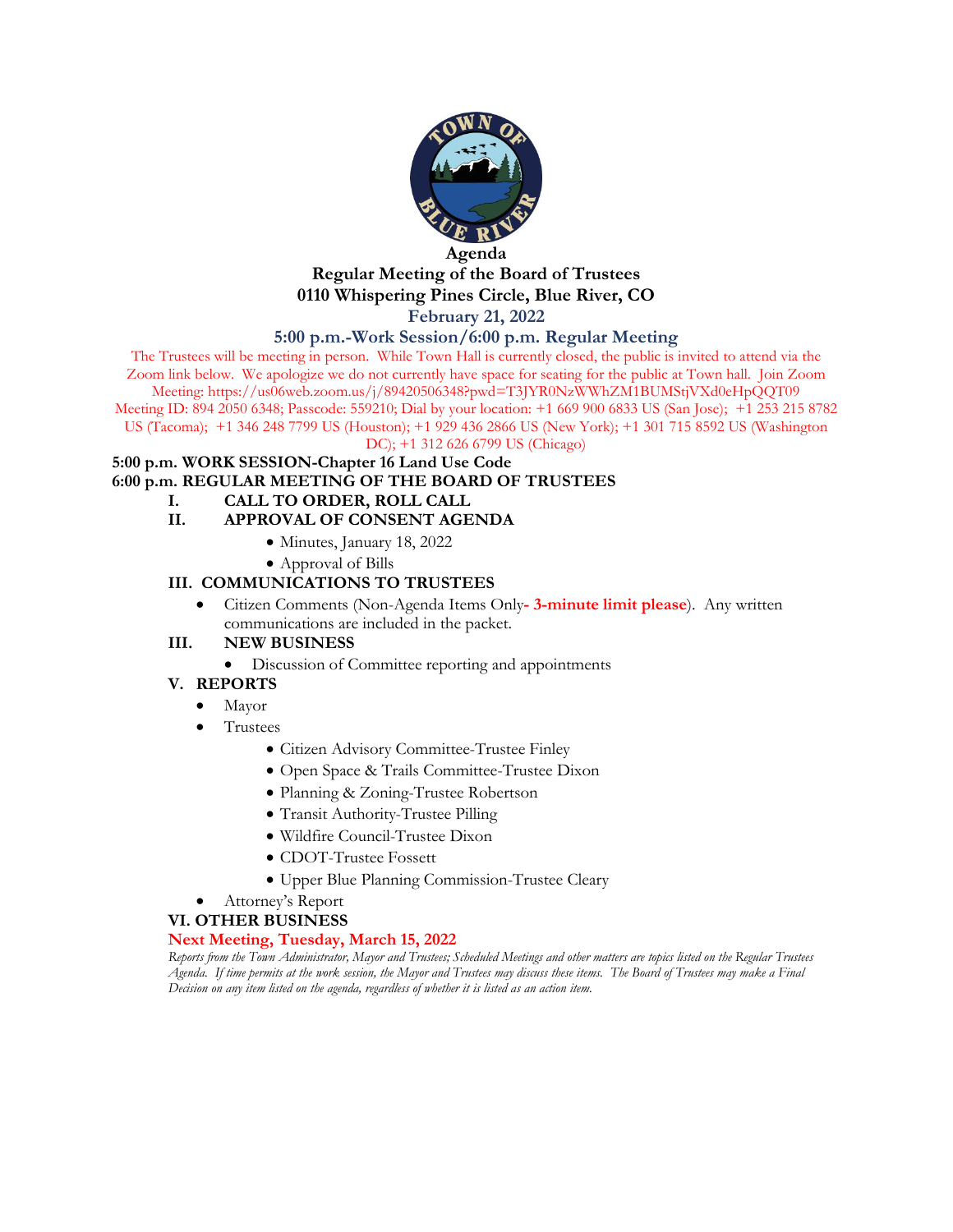

#### **Agenda Regular Meeting of the Board of Trustees 0110 Whispering Pines Circle, Blue River, CO February 21, 2022**

#### **5:00 p.m.-Work Session/6:00 p.m. Regular Meeting**

The Trustees will be meeting in person. While Town Hall is currently closed, the public is invited to attend via the Zoom link below. We apologize we do not currently have space for seating for the public at Town hall. Join Zoom Meeting: https://us06web.zoom.us/j/89420506348?pwd=T3JYR0NzWWhZM1BUMStjVXd0eHpQQT09 Meeting ID: 894 2050 6348; Passcode: 559210; Dial by your location: +1 669 900 6833 US (San Jose); +1 253 215 8782

US (Tacoma); +1 346 248 7799 US (Houston); +1 929 436 2866 US (New York); +1 301 715 8592 US (Washington

DC); +1 312 626 6799 US (Chicago)

#### **5:00 p.m. WORK SESSION-Chapter 16 Land Use Code**

**6:00 p.m. REGULAR MEETING OF THE BOARD OF TRUSTEES**

**I. CALL TO ORDER, ROLL CALL**

#### **II. APPROVAL OF CONSENT AGENDA**

- Minutes, January 18, 2022
- Approval of Bills

#### **III. COMMUNICATIONS TO TRUSTEES**

• Citizen Comments (Non-Agenda Items Only**- 3-minute limit please**). Any written communications are included in the packet.

#### **III. NEW BUSINESS**

• Discussion of Committee reporting and appointments

#### **V. REPORTS**

- Mayor
- Trustees
	- Citizen Advisory Committee-Trustee Finley
	- Open Space & Trails Committee-Trustee Dixon
	- Planning & Zoning-Trustee Robertson
	- Transit Authority-Trustee Pilling
	- Wildfire Council-Trustee Dixon
	- CDOT-Trustee Fossett
	- Upper Blue Planning Commission-Trustee Cleary
- Attorney's Report

#### **VI. OTHER BUSINESS**

#### **Next Meeting, Tuesday, March 15, 2022**

*Reports from the Town Administrator, Mayor and Trustees; Scheduled Meetings and other matters are topics listed on the Regular Trustees Agenda. If time permits at the work session, the Mayor and Trustees may discuss these items. The Board of Trustees may make a Final Decision on any item listed on the agenda, regardless of whether it is listed as an action item.*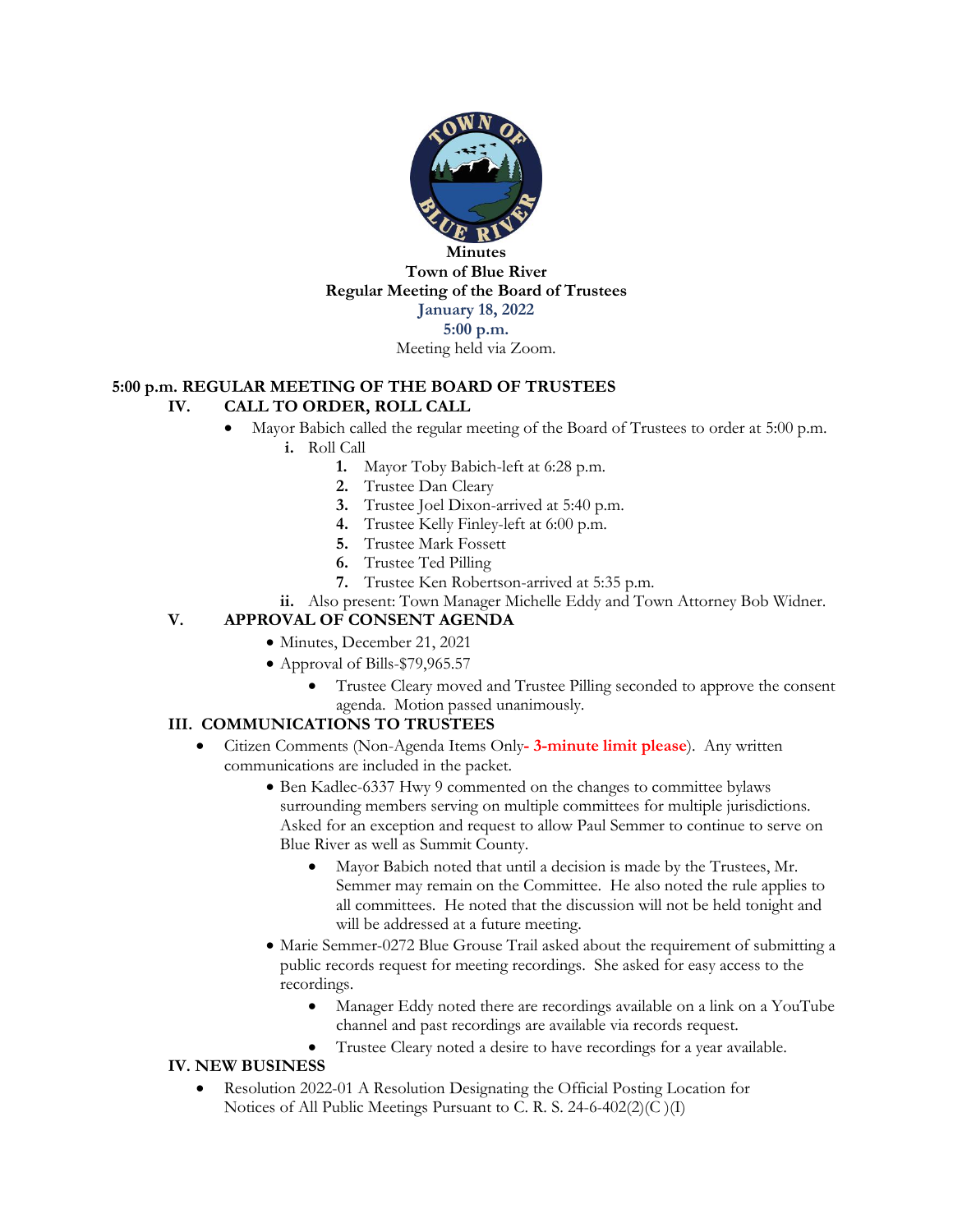

**Town of Blue River Regular Meeting of the Board of Trustees January 18, 2022 5:00 p.m.**

Meeting held via Zoom.

#### **5:00 p.m. REGULAR MEETING OF THE BOARD OF TRUSTEES**

#### **IV. CALL TO ORDER, ROLL CALL**

Mayor Babich called the regular meeting of the Board of Trustees to order at 5:00 p.m.

**i.** Roll Call

- **1.** Mayor Toby Babich-left at 6:28 p.m.
- **2.** Trustee Dan Cleary
- **3.** Trustee Joel Dixon-arrived at 5:40 p.m.
- **4.** Trustee Kelly Finley-left at 6:00 p.m.
- **5.** Trustee Mark Fossett
- **6.** Trustee Ted Pilling
- **7.** Trustee Ken Robertson-arrived at 5:35 p.m.
- **ii.** Also present: Town Manager Michelle Eddy and Town Attorney Bob Widner.

#### **V. APPROVAL OF CONSENT AGENDA**

- Minutes, December 21, 2021
- Approval of Bills-\$79,965.57
	- Trustee Cleary moved and Trustee Pilling seconded to approve the consent agenda. Motion passed unanimously.

#### **III. COMMUNICATIONS TO TRUSTEES**

- Citizen Comments (Non-Agenda Items Only**- 3-minute limit please**). Any written communications are included in the packet.
	- Ben Kadlec-6337 Hwy 9 commented on the changes to committee bylaws surrounding members serving on multiple committees for multiple jurisdictions. Asked for an exception and request to allow Paul Semmer to continue to serve on Blue River as well as Summit County.
		- Mayor Babich noted that until a decision is made by the Trustees, Mr. Semmer may remain on the Committee. He also noted the rule applies to all committees. He noted that the discussion will not be held tonight and will be addressed at a future meeting.
	- Marie Semmer-0272 Blue Grouse Trail asked about the requirement of submitting a public records request for meeting recordings. She asked for easy access to the recordings.
		- Manager Eddy noted there are recordings available on a link on a YouTube channel and past recordings are available via records request.
		- Trustee Cleary noted a desire to have recordings for a year available.

#### **IV. NEW BUSINESS**

• Resolution 2022-01 A Resolution Designating the Official Posting Location for Notices of All Public Meetings Pursuant to C. R. S. 24-6-402(2)(C )(I)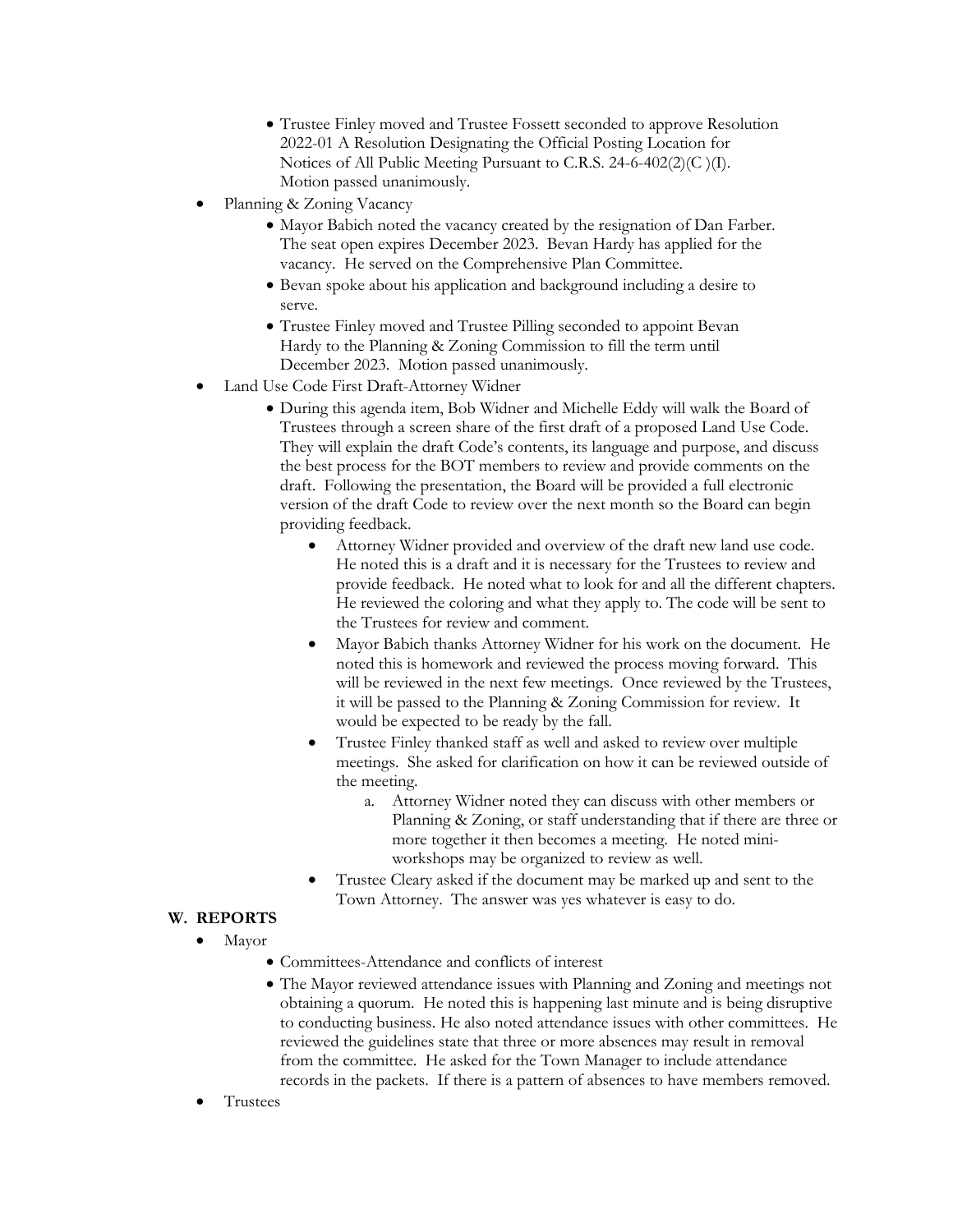- Trustee Finley moved and Trustee Fossett seconded to approve Resolution 2022-01 A Resolution Designating the Official Posting Location for Notices of All Public Meeting Pursuant to C.R.S. 24-6-402(2)(C )(I). Motion passed unanimously.
- Planning & Zoning Vacancy
	- Mayor Babich noted the vacancy created by the resignation of Dan Farber. The seat open expires December 2023. Bevan Hardy has applied for the vacancy. He served on the Comprehensive Plan Committee.
	- Bevan spoke about his application and background including a desire to serve.
	- Trustee Finley moved and Trustee Pilling seconded to appoint Bevan Hardy to the Planning & Zoning Commission to fill the term until December 2023. Motion passed unanimously.
- Land Use Code First Draft-Attorney Widner
	- During this agenda item, Bob Widner and Michelle Eddy will walk the Board of Trustees through a screen share of the first draft of a proposed Land Use Code. They will explain the draft Code's contents, its language and purpose, and discuss the best process for the BOT members to review and provide comments on the draft. Following the presentation, the Board will be provided a full electronic version of the draft Code to review over the next month so the Board can begin providing feedback.
		- Attorney Widner provided and overview of the draft new land use code. He noted this is a draft and it is necessary for the Trustees to review and provide feedback. He noted what to look for and all the different chapters. He reviewed the coloring and what they apply to. The code will be sent to the Trustees for review and comment.
		- Mayor Babich thanks Attorney Widner for his work on the document. He noted this is homework and reviewed the process moving forward. This will be reviewed in the next few meetings. Once reviewed by the Trustees, it will be passed to the Planning & Zoning Commission for review. It would be expected to be ready by the fall.
		- Trustee Finley thanked staff as well and asked to review over multiple meetings. She asked for clarification on how it can be reviewed outside of the meeting.
			- a. Attorney Widner noted they can discuss with other members or Planning & Zoning, or staff understanding that if there are three or more together it then becomes a meeting. He noted miniworkshops may be organized to review as well.
		- Trustee Cleary asked if the document may be marked up and sent to the Town Attorney. The answer was yes whatever is easy to do.

#### **W. REPORTS**

- Mayor
	- Committees-Attendance and conflicts of interest
	- The Mayor reviewed attendance issues with Planning and Zoning and meetings not obtaining a quorum. He noted this is happening last minute and is being disruptive to conducting business. He also noted attendance issues with other committees. He reviewed the guidelines state that three or more absences may result in removal from the committee. He asked for the Town Manager to include attendance records in the packets. If there is a pattern of absences to have members removed.
- **Trustees**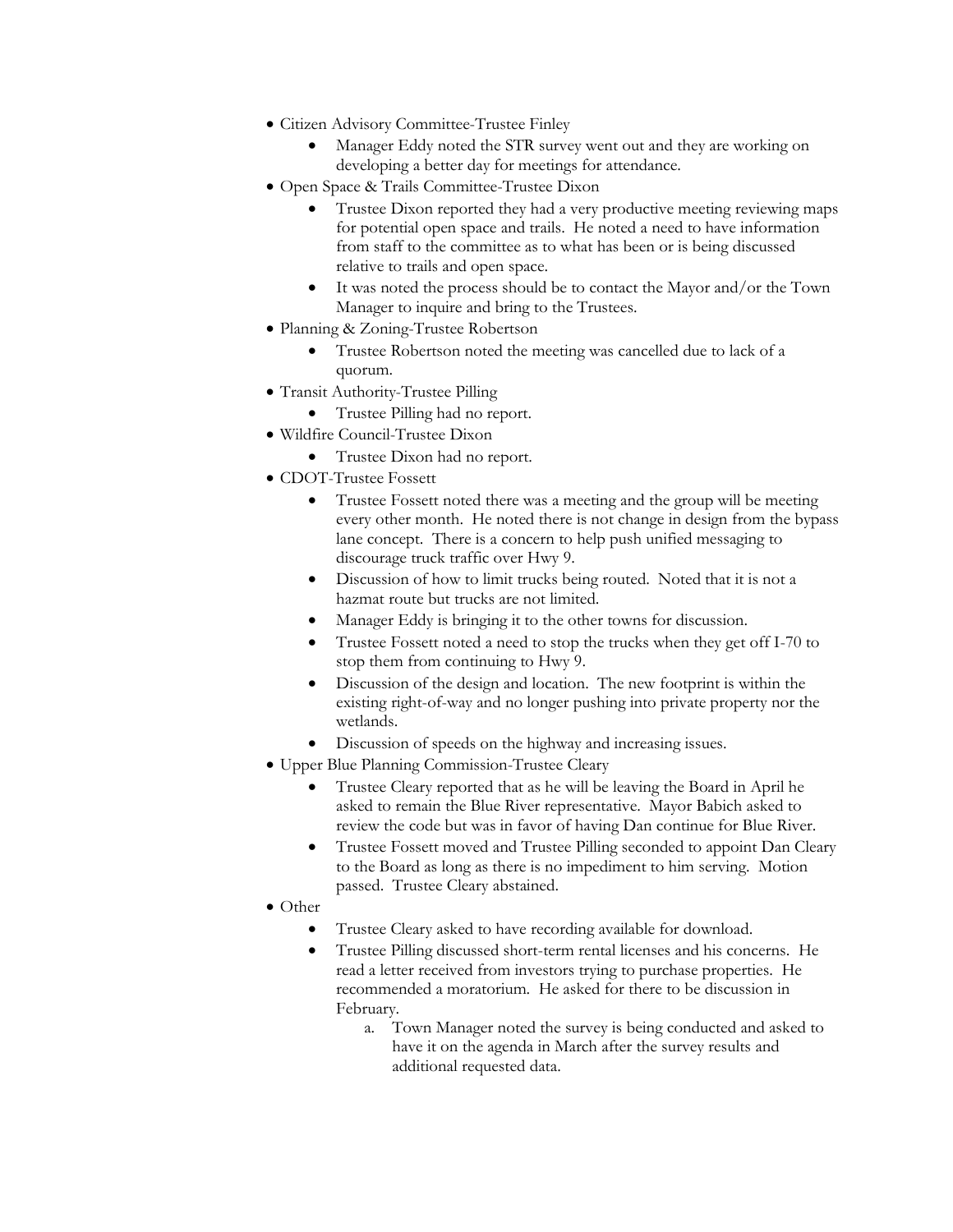- Citizen Advisory Committee-Trustee Finley
	- Manager Eddy noted the STR survey went out and they are working on developing a better day for meetings for attendance.
- Open Space & Trails Committee-Trustee Dixon
	- Trustee Dixon reported they had a very productive meeting reviewing maps for potential open space and trails. He noted a need to have information from staff to the committee as to what has been or is being discussed relative to trails and open space.
	- It was noted the process should be to contact the Mayor and/or the Town Manager to inquire and bring to the Trustees.
- Planning & Zoning-Trustee Robertson
	- Trustee Robertson noted the meeting was cancelled due to lack of a quorum.
- Transit Authority-Trustee Pilling
	- Trustee Pilling had no report.
- Wildfire Council-Trustee Dixon
	- Trustee Dixon had no report.
- CDOT-Trustee Fossett
	- Trustee Fossett noted there was a meeting and the group will be meeting every other month. He noted there is not change in design from the bypass lane concept. There is a concern to help push unified messaging to discourage truck traffic over Hwy 9.
	- Discussion of how to limit trucks being routed. Noted that it is not a hazmat route but trucks are not limited.
	- Manager Eddy is bringing it to the other towns for discussion.
	- Trustee Fossett noted a need to stop the trucks when they get off I-70 to stop them from continuing to Hwy 9.
	- Discussion of the design and location. The new footprint is within the existing right-of-way and no longer pushing into private property nor the wetlands.
	- Discussion of speeds on the highway and increasing issues.
- Upper Blue Planning Commission-Trustee Cleary
	- Trustee Cleary reported that as he will be leaving the Board in April he asked to remain the Blue River representative. Mayor Babich asked to review the code but was in favor of having Dan continue for Blue River.
	- Trustee Fossett moved and Trustee Pilling seconded to appoint Dan Cleary to the Board as long as there is no impediment to him serving. Motion passed. Trustee Cleary abstained.
- Other
	- Trustee Cleary asked to have recording available for download.
	- Trustee Pilling discussed short-term rental licenses and his concerns. He read a letter received from investors trying to purchase properties. He recommended a moratorium. He asked for there to be discussion in February.
		- a. Town Manager noted the survey is being conducted and asked to have it on the agenda in March after the survey results and additional requested data.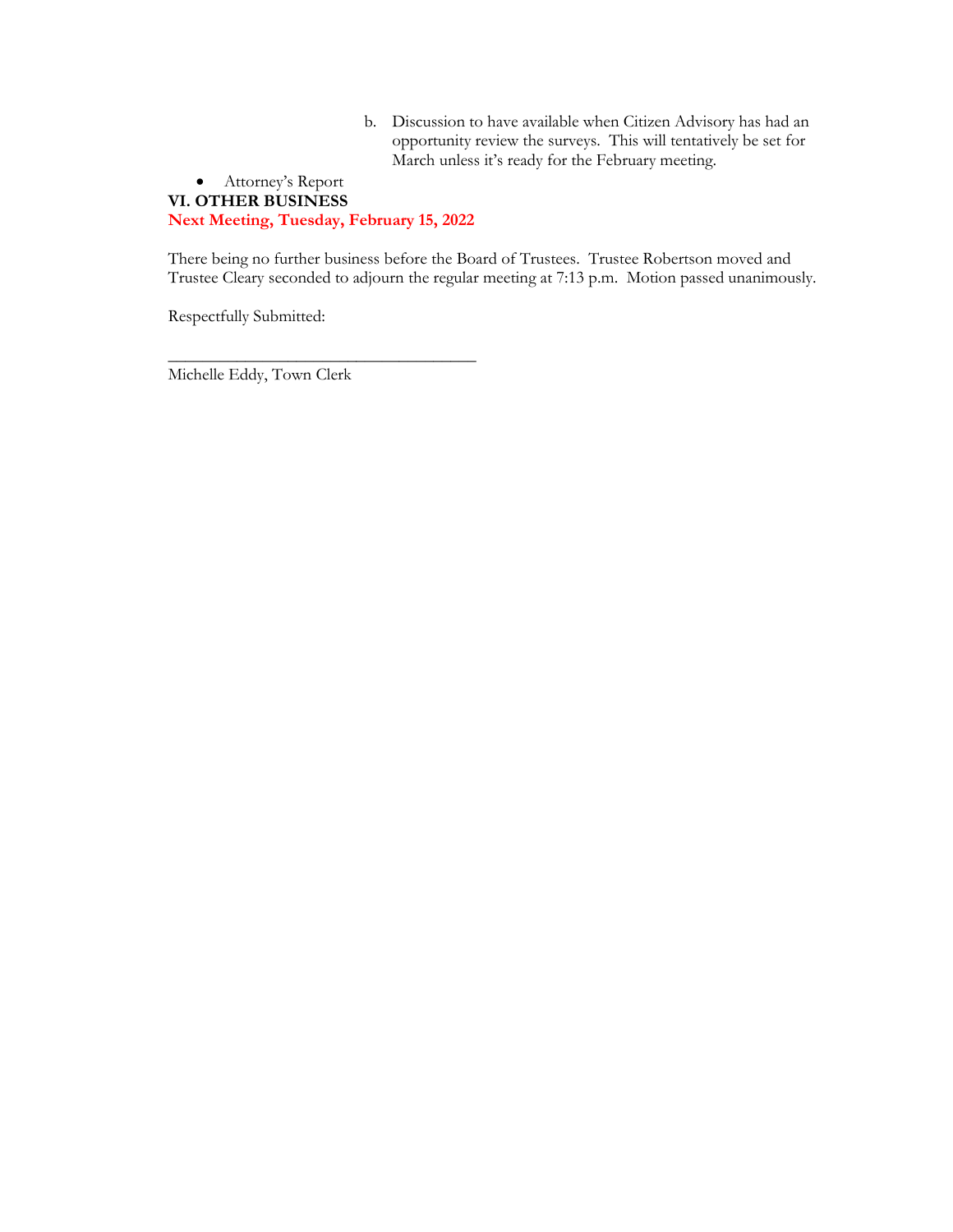b. Discussion to have available when Citizen Advisory has had an opportunity review the surveys. This will tentatively be set for March unless it's ready for the February meeting.

#### • Attorney's Report **VI. OTHER BUSINESS Next Meeting, Tuesday, February 15, 2022**

There being no further business before the Board of Trustees. Trustee Robertson moved and Trustee Cleary seconded to adjourn the regular meeting at 7:13 p.m. Motion passed unanimously.

Respectfully Submitted:

\_\_\_\_\_\_\_\_\_\_\_\_\_\_\_\_\_\_\_\_\_\_\_\_\_\_\_\_\_\_\_\_\_\_\_\_ Michelle Eddy, Town Clerk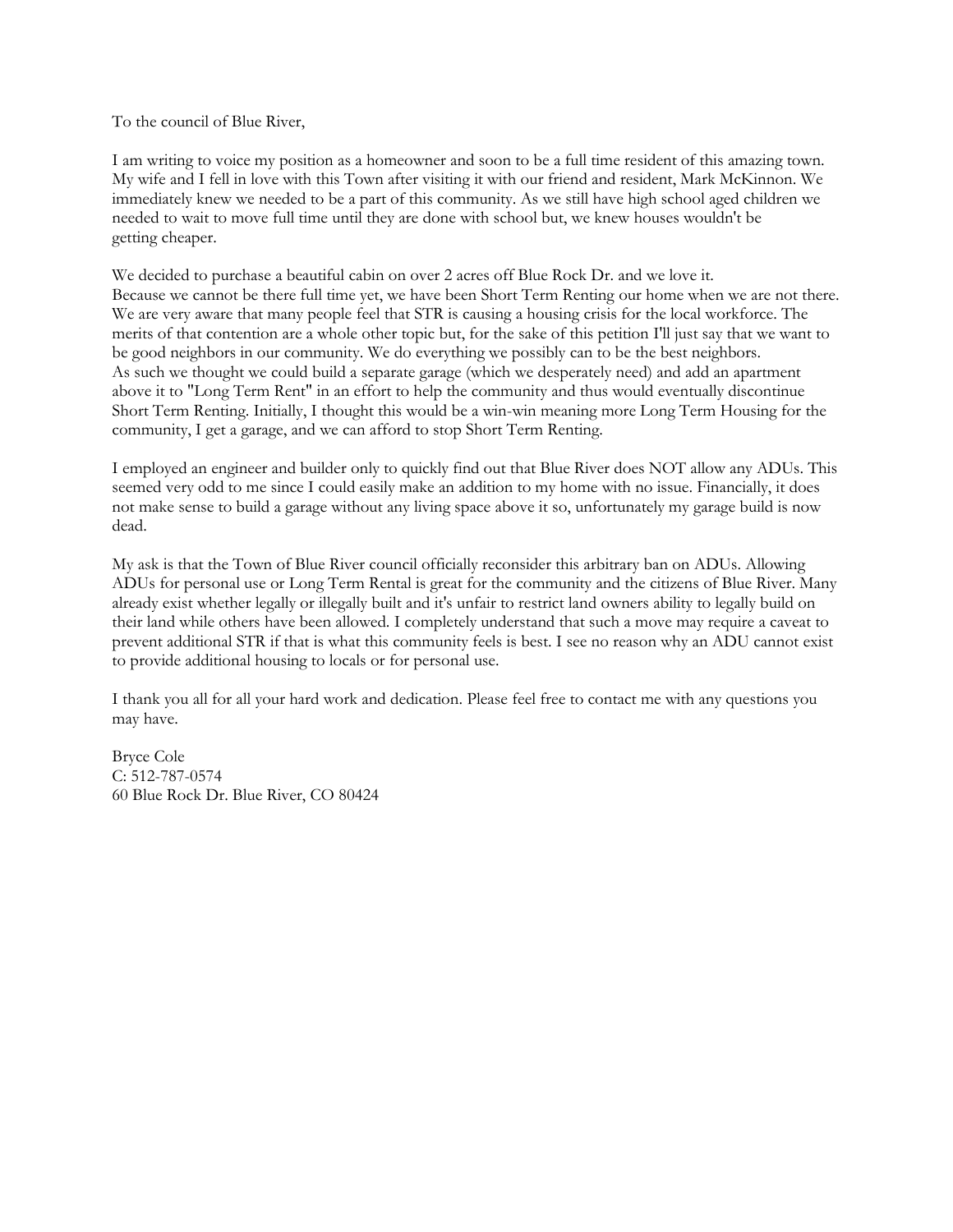To the council of Blue River,

I am writing to voice my position as a homeowner and soon to be a full time resident of this amazing town. My wife and I fell in love with this Town after visiting it with our friend and resident, Mark McKinnon. We immediately knew we needed to be a part of this community. As we still have high school aged children we needed to wait to move full time until they are done with school but, we knew houses wouldn't be getting cheaper.

We decided to purchase a beautiful cabin on over 2 acres off Blue Rock Dr. and we love it. Because we cannot be there full time yet, we have been Short Term Renting our home when we are not there. We are very aware that many people feel that STR is causing a housing crisis for the local workforce. The merits of that contention are a whole other topic but, for the sake of this petition I'll just say that we want to be good neighbors in our community. We do everything we possibly can to be the best neighbors. As such we thought we could build a separate garage (which we desperately need) and add an apartment above it to "Long Term Rent" in an effort to help the community and thus would eventually discontinue Short Term Renting. Initially, I thought this would be a win-win meaning more Long Term Housing for the community, I get a garage, and we can afford to stop Short Term Renting.

I employed an engineer and builder only to quickly find out that Blue River does NOT allow any ADUs. This seemed very odd to me since I could easily make an addition to my home with no issue. Financially, it does not make sense to build a garage without any living space above it so, unfortunately my garage build is now dead.

My ask is that the Town of Blue River council officially reconsider this arbitrary ban on ADUs. Allowing ADUs for personal use or Long Term Rental is great for the community and the citizens of Blue River. Many already exist whether legally or illegally built and it's unfair to restrict land owners ability to legally build on their land while others have been allowed. I completely understand that such a move may require a caveat to prevent additional STR if that is what this community feels is best. I see no reason why an ADU cannot exist to provide additional housing to locals or for personal use.

I thank you all for all your hard work and dedication. Please feel free to contact me with any questions you may have.

Bryce Cole C: 512-787-0574 60 Blue Rock Dr. Blue River, CO 80424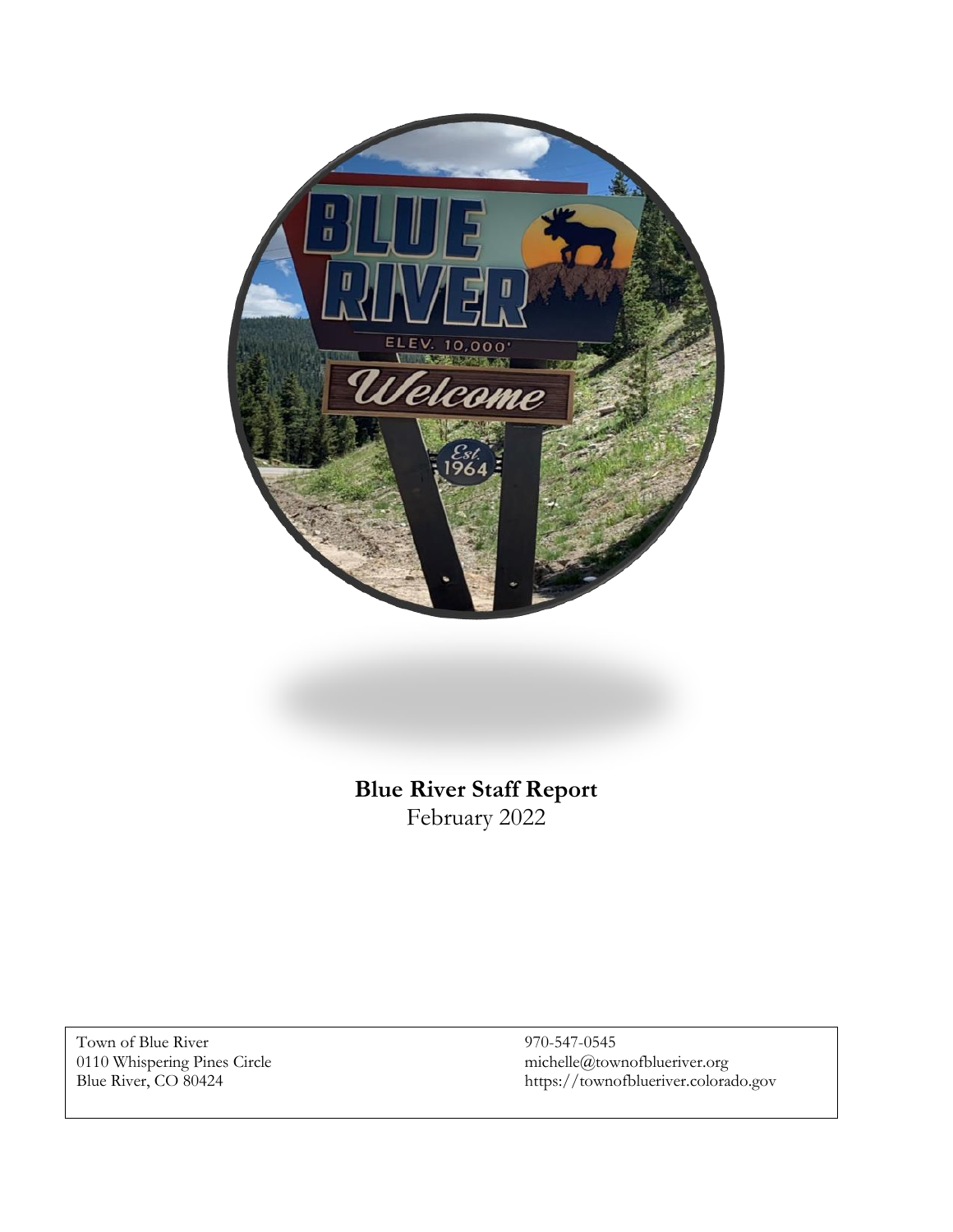

# **Blue River Staff Report** February 2022

Town of Blue River 970-547-0545<br>0110 Whispering Pines Circle michelle@town

0110 Whispering Pines Circle michelle@townofblueriver.org Blue River, CO 80424 https://townofblueriver.colorado.gov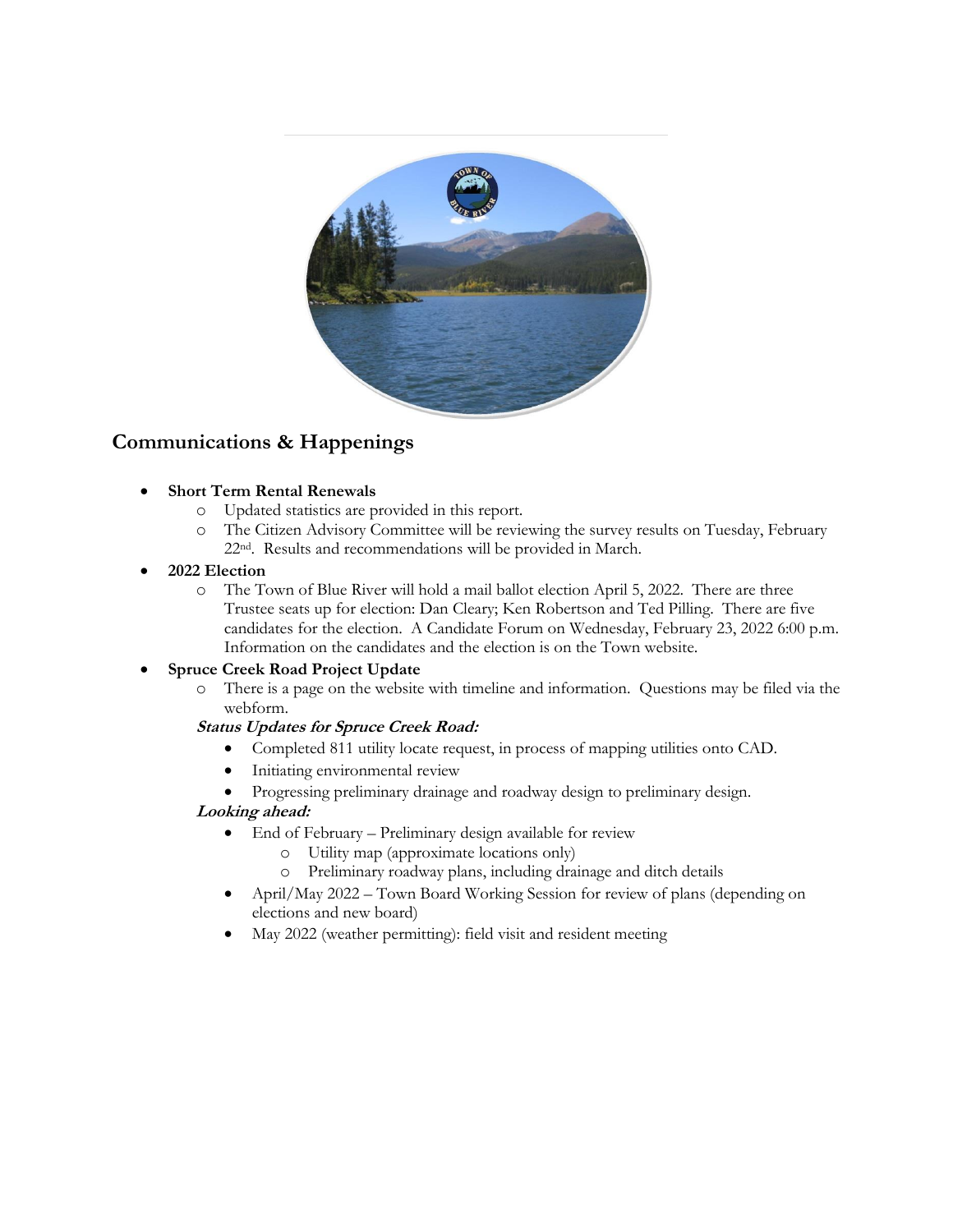

## **Communications & Happenings**

#### • **Short Term Rental Renewals**

- o Updated statistics are provided in this report.
- o The Citizen Advisory Committee will be reviewing the survey results on Tuesday, February 22nd. Results and recommendations will be provided in March.

#### • **2022 Election**

o The Town of Blue River will hold a mail ballot election April 5, 2022. There are three Trustee seats up for election: Dan Cleary; Ken Robertson and Ted Pilling. There are five candidates for the election. A Candidate Forum on Wednesday, February 23, 2022 6:00 p.m. Information on the candidates and the election is on the Town website.

#### • **Spruce Creek Road Project Update**

o There is a page on the website with timeline and information. Questions may be filed via the webform.

#### **Status Updates for Spruce Creek Road:**

- Completed 811 utility locate request, in process of mapping utilities onto CAD.
- Initiating environmental review
- Progressing preliminary drainage and roadway design to preliminary design.

#### **Looking ahead:**

- End of February Preliminary design available for review
	- o Utility map (approximate locations only)
	- o Preliminary roadway plans, including drainage and ditch details
- April/May 2022 Town Board Working Session for review of plans (depending on elections and new board)
- May 2022 (weather permitting): field visit and resident meeting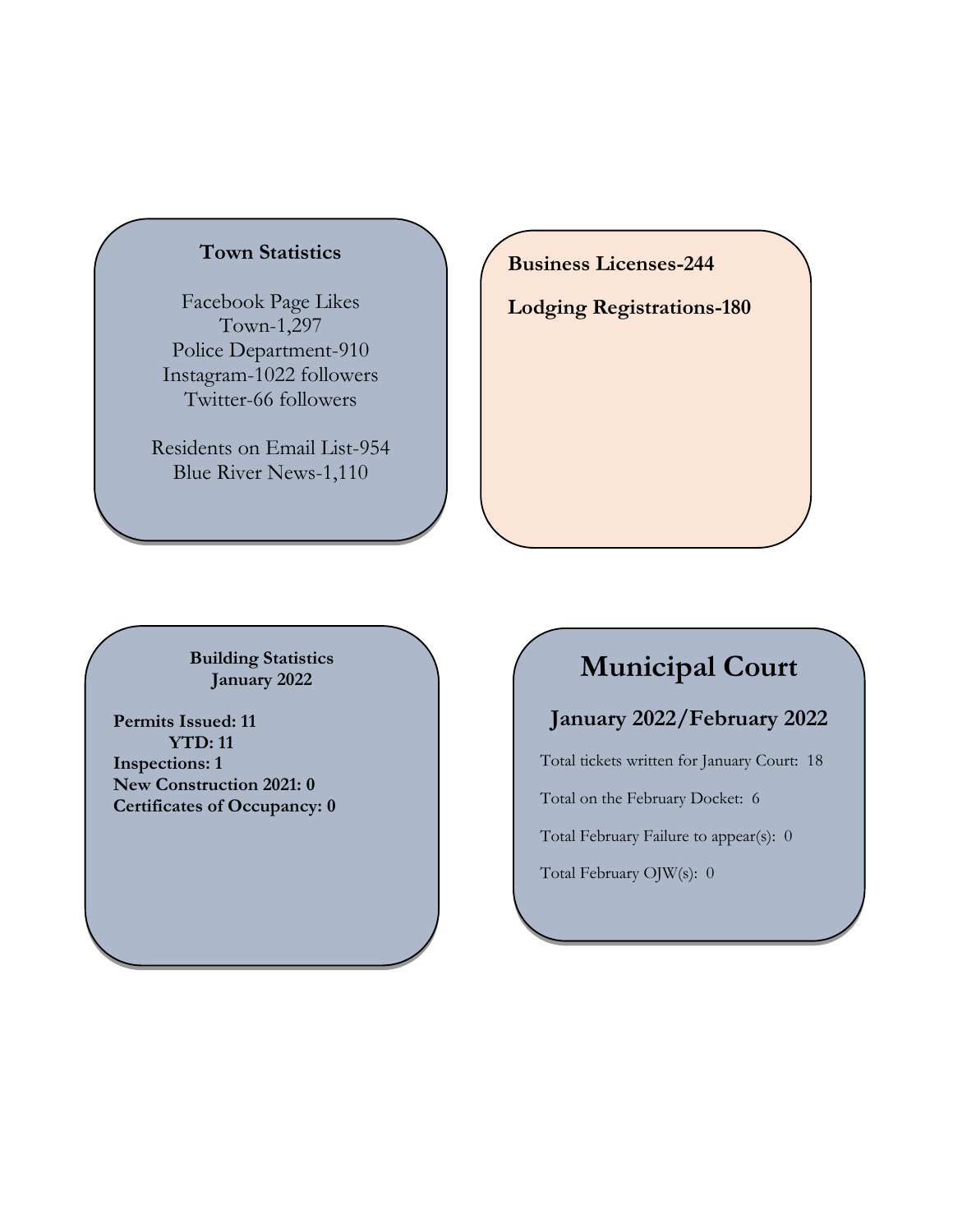## **Town Statistics**

Facebook Page Likes Town-1,297 Police Department-910 Instagram-1022 followers Twitter-66 followers

Residents on Email List-954 Blue River News-1,110

**Business Licenses-244**

**Lodging Registrations-180**

**Building Statistics January 2022**

**Permits Issued: 11 YTD: 11 Inspections: 1 New Construction 2021: 0 Certificates of Occupancy: 0**

# **Municipal Court**

## **January 2022/February 2022**

Total tickets written for January Court: 18

Total on the February Docket: 6

Total February Failure to appear(s): 0

Total February OJW(s): 0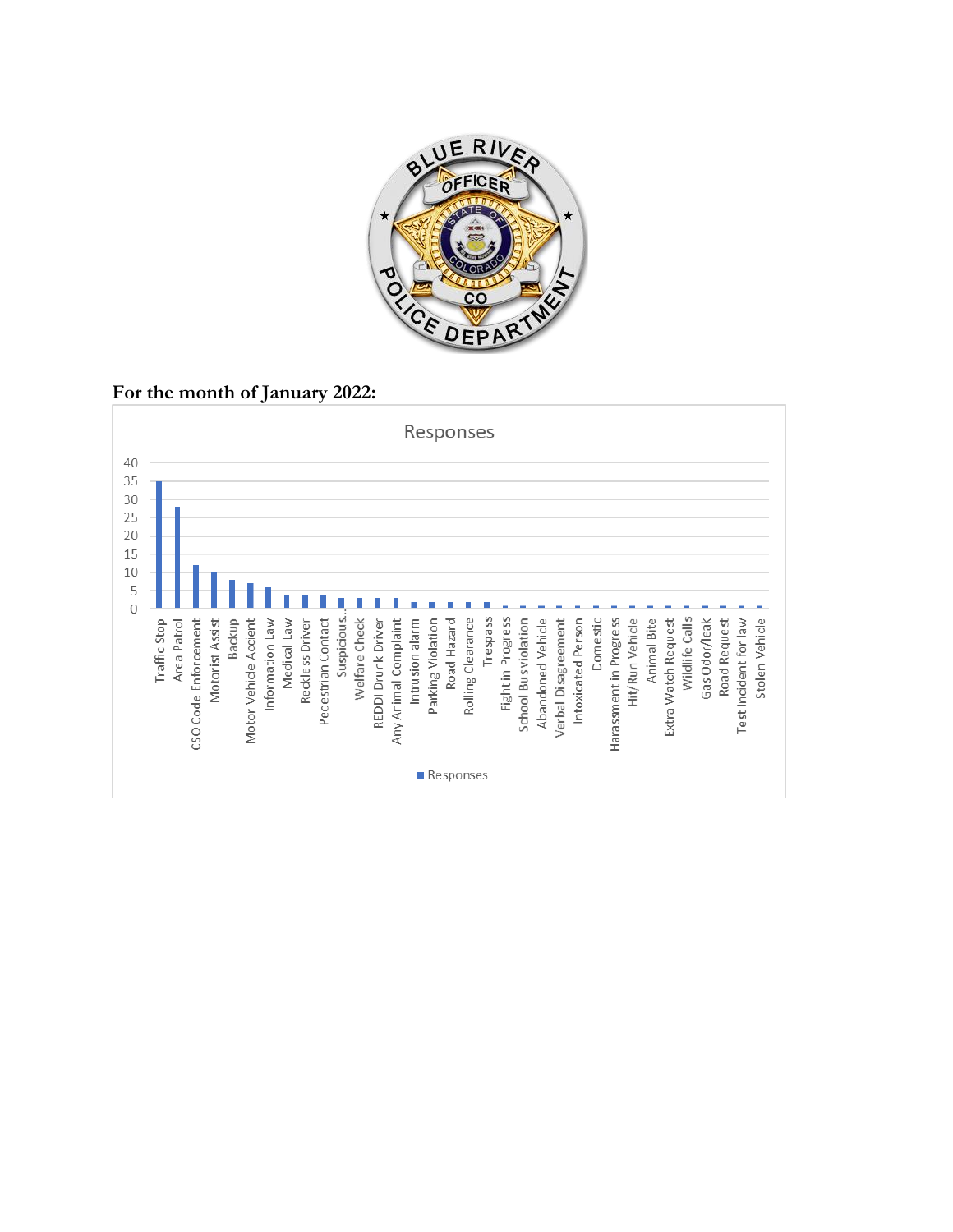

**For the month of January 2022:**

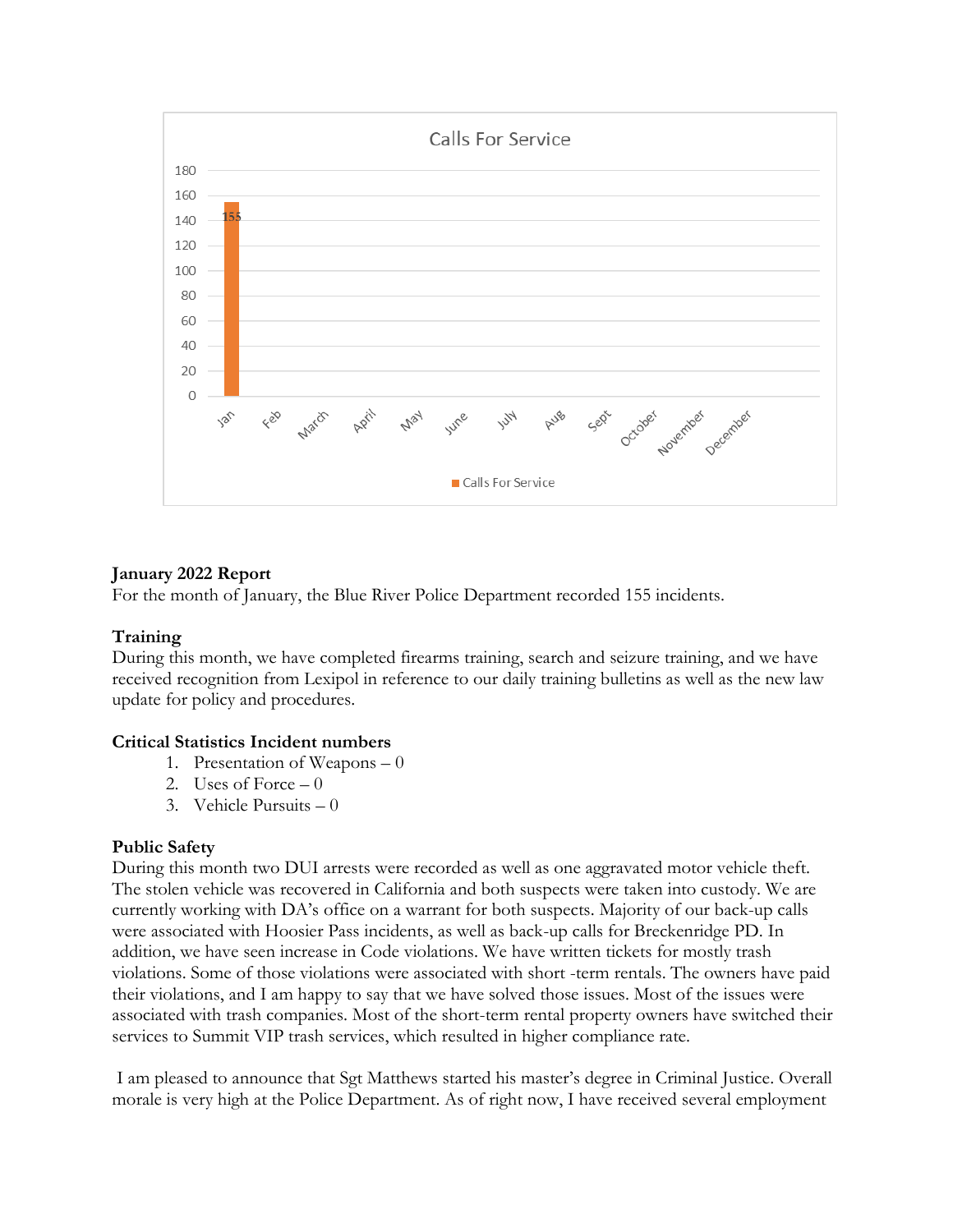

#### **January 2022 Report**

For the month of January, the Blue River Police Department recorded 155 incidents.

#### **Training**

During this month, we have completed firearms training, search and seizure training, and we have received recognition from Lexipol in reference to our daily training bulletins as well as the new law update for policy and procedures.

#### **Critical Statistics Incident numbers**

- 1. Presentation of Weapons 0
- 2. Uses of Force  $-0$
- 3. Vehicle Pursuits 0

#### **Public Safety**

During this month two DUI arrests were recorded as well as one aggravated motor vehicle theft. The stolen vehicle was recovered in California and both suspects were taken into custody. We are currently working with DA's office on a warrant for both suspects. Majority of our back-up calls were associated with Hoosier Pass incidents, as well as back-up calls for Breckenridge PD. In addition, we have seen increase in Code violations. We have written tickets for mostly trash violations. Some of those violations were associated with short -term rentals. The owners have paid their violations, and I am happy to say that we have solved those issues. Most of the issues were associated with trash companies. Most of the short-term rental property owners have switched their services to Summit VIP trash services, which resulted in higher compliance rate.

I am pleased to announce that Sgt Matthews started his master's degree in Criminal Justice. Overall morale is very high at the Police Department. As of right now, I have received several employment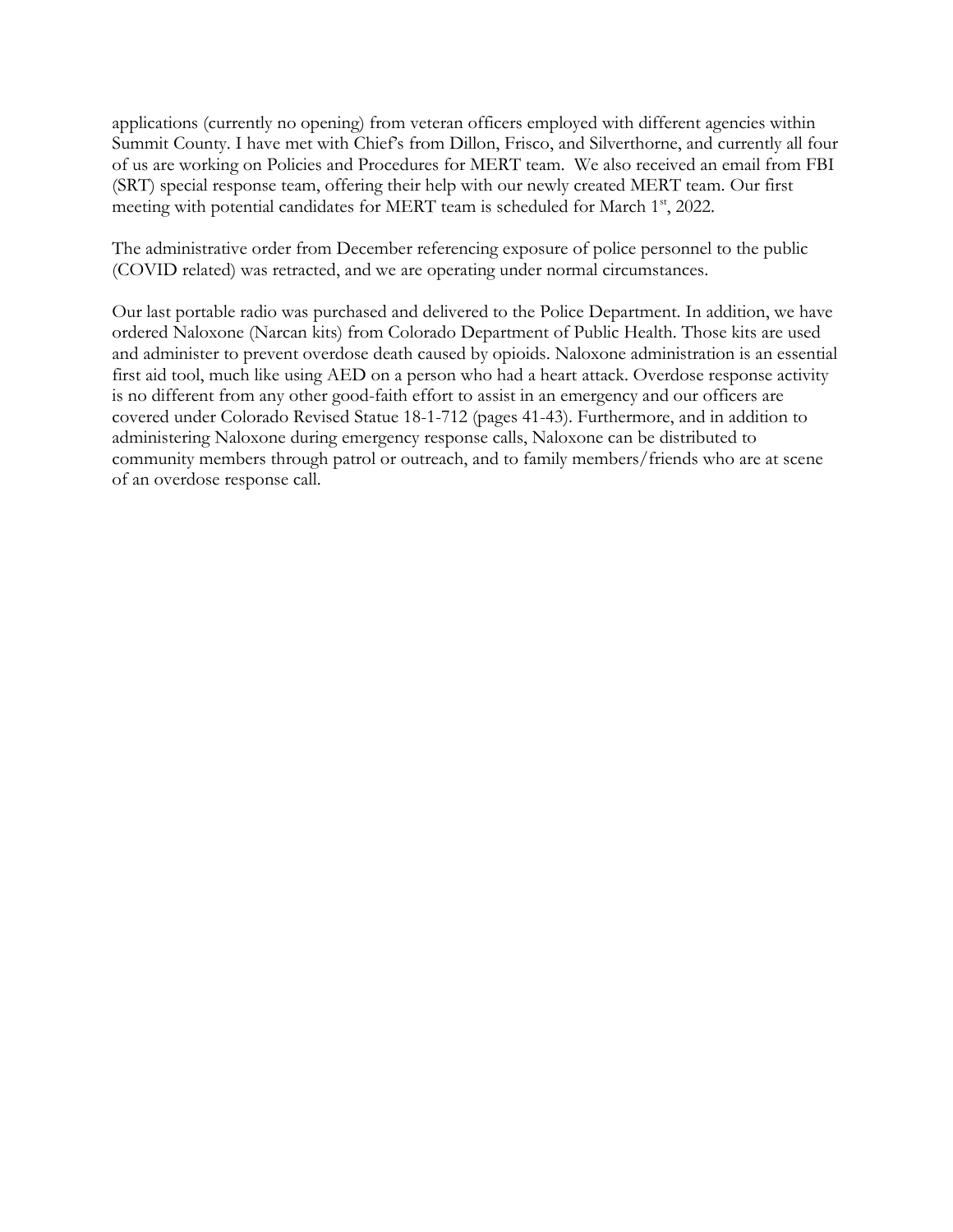applications (currently no opening) from veteran officers employed with different agencies within Summit County. I have met with Chief's from Dillon, Frisco, and Silverthorne, and currently all four of us are working on Policies and Procedures for MERT team. We also received an email from FBI (SRT) special response team, offering their help with our newly created MERT team. Our first meeting with potential candidates for MERT team is scheduled for March 1<sup>st</sup>, 2022.

The administrative order from December referencing exposure of police personnel to the public (COVID related) was retracted, and we are operating under normal circumstances.

Our last portable radio was purchased and delivered to the Police Department. In addition, we have ordered Naloxone (Narcan kits) from Colorado Department of Public Health. Those kits are used and administer to prevent overdose death caused by opioids. Naloxone administration is an essential first aid tool, much like using AED on a person who had a heart attack. Overdose response activity is no different from any other good-faith effort to assist in an emergency and our officers are covered under Colorado Revised Statue 18-1-712 (pages 41-43). Furthermore, and in addition to administering Naloxone during emergency response calls, Naloxone can be distributed to community members through patrol or outreach, and to family members/friends who are at scene of an overdose response call.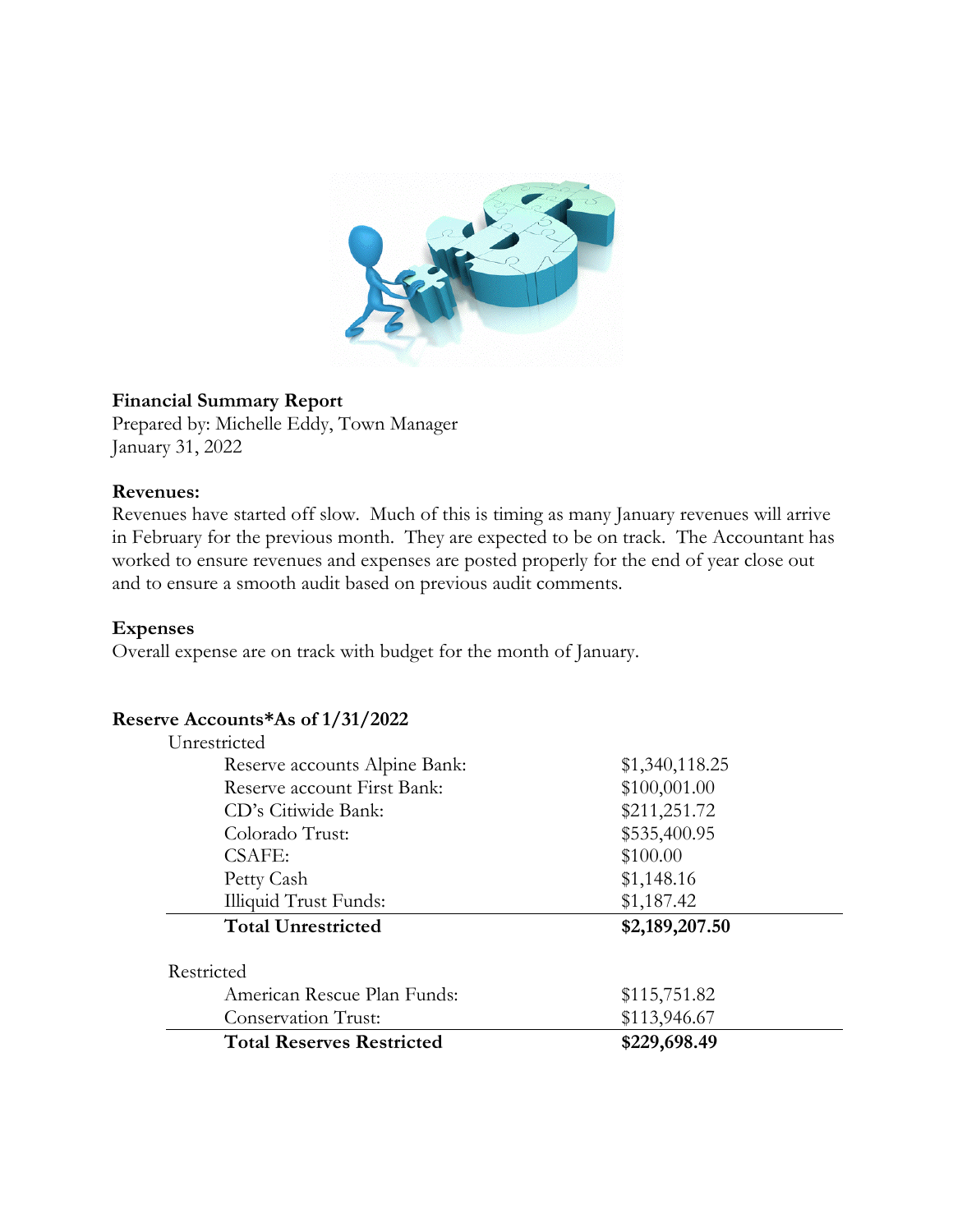

#### **Financial Summary Report**

Prepared by: Michelle Eddy, Town Manager January 31, 2022

#### **Revenues:**

Revenues have started off slow. Much of this is timing as many January revenues will arrive in February for the previous month. They are expected to be on track. The Accountant has worked to ensure revenues and expenses are posted properly for the end of year close out and to ensure a smooth audit based on previous audit comments.

#### **Expenses**

Overall expense are on track with budget for the month of January.

#### **Reserve Accounts\*As of 1/31/2022**

| Unrestricted                     |                |
|----------------------------------|----------------|
| Reserve accounts Alpine Bank:    | \$1,340,118.25 |
| Reserve account First Bank:      | \$100,001.00   |
| CD's Citiwide Bank:              | \$211,251.72   |
| Colorado Trust:                  | \$535,400.95   |
| CSAFE:                           | \$100.00       |
| Petty Cash                       | \$1,148.16     |
| <b>Illiquid Trust Funds:</b>     | \$1,187.42     |
| <b>Total Unrestricted</b>        | \$2,189,207.50 |
| Restricted                       |                |
| American Rescue Plan Funds:      | \$115,751.82   |
| Conservation Trust:              | \$113,946.67   |
| <b>Total Reserves Restricted</b> | \$229,698.49   |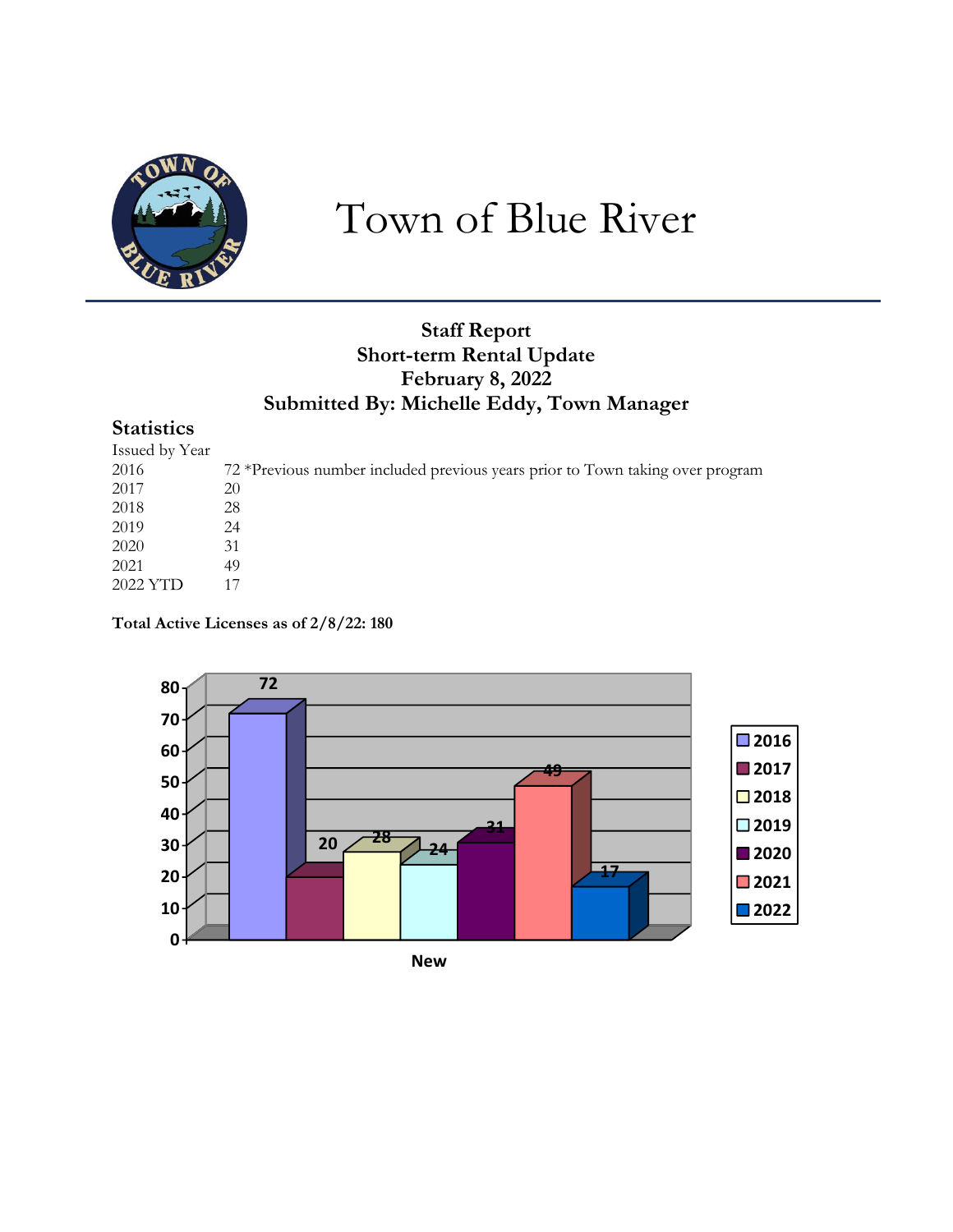

# Town of Blue River

## **Staff Report Short-term Rental Update February 8, 2022 Submitted By: Michelle Eddy, Town Manager**

## **Statistics**

| Issued by Year |                                                                               |
|----------------|-------------------------------------------------------------------------------|
| 2016           | 72 *Previous number included previous years prior to Town taking over program |
| 2017           | 20                                                                            |
| 2018           | 28                                                                            |
| 2019           | 24                                                                            |
| 2020           | 31                                                                            |
| 2021           | 49                                                                            |
| 2022 YTD       |                                                                               |
|                |                                                                               |

**Total Active Licenses as of 2/8/22: 180**

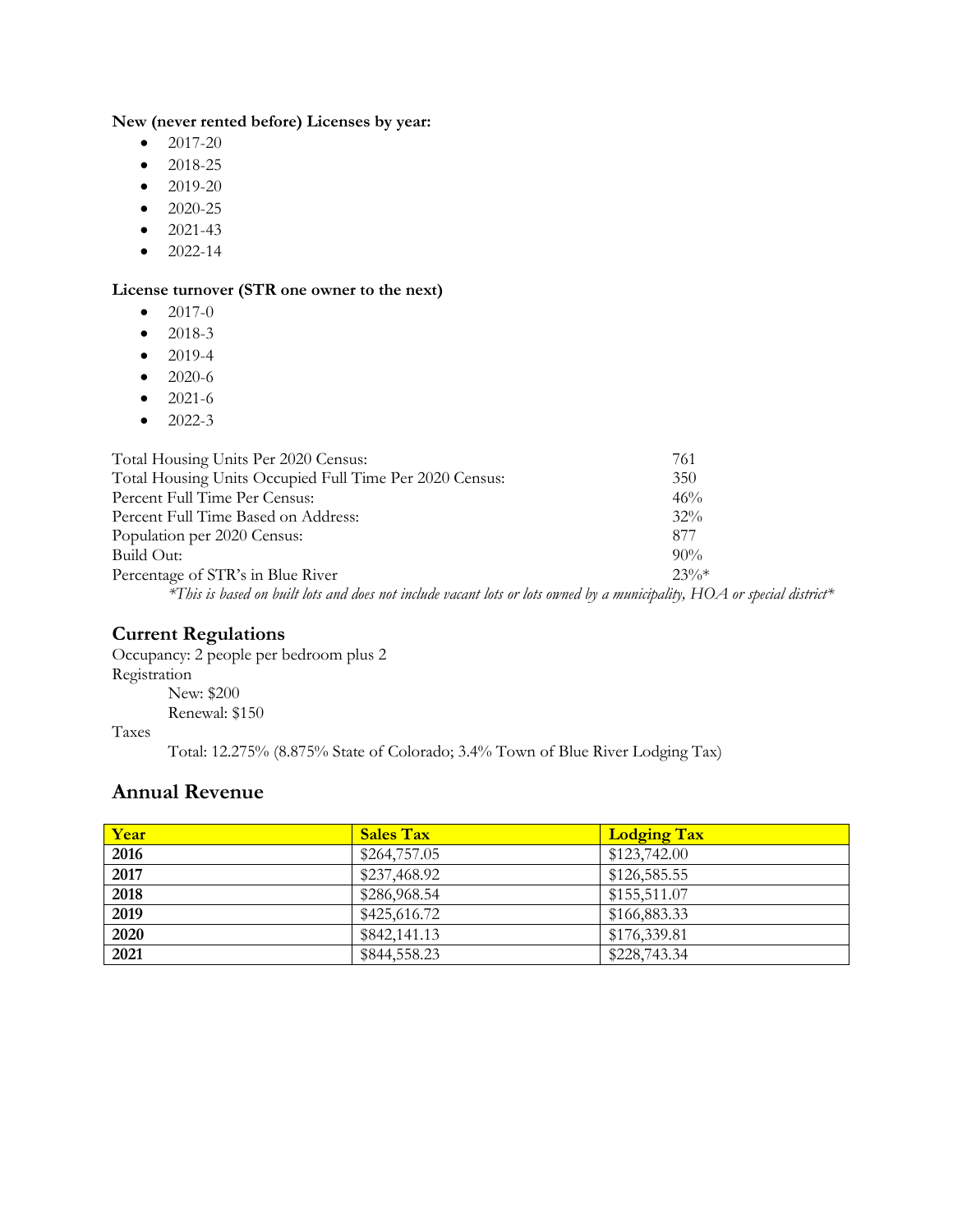#### **New (never rented before) Licenses by year:**

- $2017-20$
- 2018-25
- 2019-20
- 2020-25
- $2021-43$
- $\bullet$  2022-14

#### **License turnover (STR one owner to the next)**

- $\bullet$  2017-0
- 2018-3
- 2019-4
- 2020-6
- $2021-6$
- $\bullet$  2022-3

| Total Housing Units Per 2020 Census:                                                                                      | 761     |
|---------------------------------------------------------------------------------------------------------------------------|---------|
| Total Housing Units Occupied Full Time Per 2020 Census:                                                                   | 350     |
| Percent Full Time Per Census:                                                                                             | 46%     |
| Percent Full Time Based on Address:                                                                                       | $32\%$  |
| Population per 2020 Census:                                                                                               | 877     |
| Build Out:                                                                                                                | $90\%$  |
| Percentage of STR's in Blue River                                                                                         | $23\%*$ |
| *This is based on built lots and does not include vacant lots or lots owned by a municipality, $HOA$ or special district* |         |
|                                                                                                                           |         |

#### **Current Regulations**

Occupancy: 2 people per bedroom plus 2 Registration New: \$200 Renewal: \$150

Taxes

Total: 12.275% (8.875% State of Colorado; 3.4% Town of Blue River Lodging Tax)

#### **Annual Revenue**

| Year | <b>Sales Tax</b> | <b>Lodging Tax</b> |
|------|------------------|--------------------|
| 2016 | \$264,757.05     | \$123,742.00       |
| 2017 | \$237,468.92     | \$126,585.55       |
| 2018 | \$286,968.54     | \$155,511.07       |
| 2019 | \$425,616.72     | \$166,883.33       |
| 2020 | \$842,141.13     | \$176,339.81       |
| 2021 | \$844,558.23     | \$228,743.34       |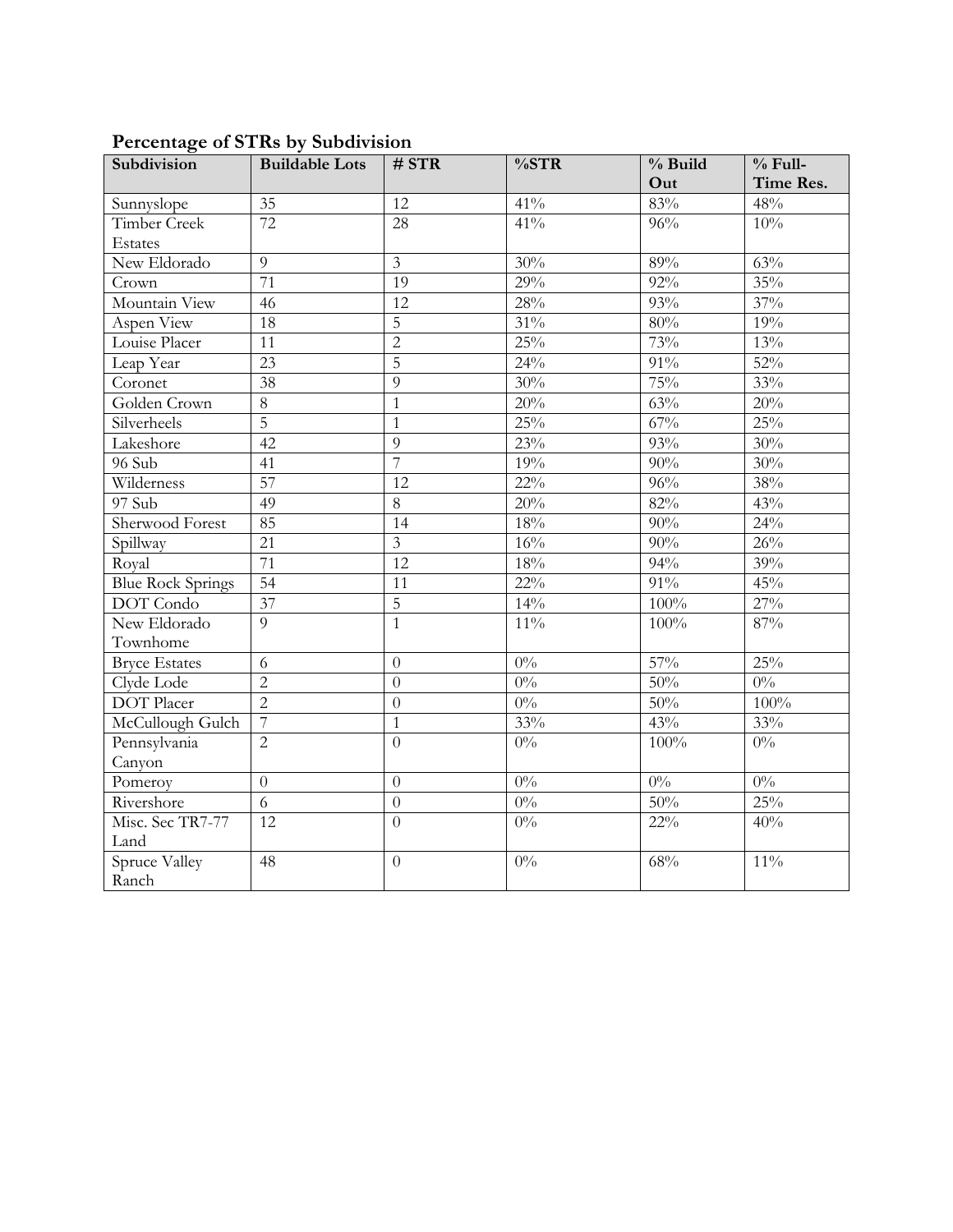| Subdivision              | <b>Buildable Lots</b> | # STR                   | %STR             | % Build | $%$ Full- |
|--------------------------|-----------------------|-------------------------|------------------|---------|-----------|
|                          |                       |                         |                  | Out     | Time Res. |
| Sunnyslope               | $\overline{35}$       | 12                      | 41%              | 83%     | 48%       |
| <b>Timber Creek</b>      | $\overline{72}$       | 28                      | 41%              | 96%     | 10%       |
| Estates                  |                       |                         |                  |         |           |
| New Eldorado             | 9                     | $\overline{\mathbf{3}}$ | 30%              | $89\%$  | 63%       |
| Crown                    | 71                    | 19                      | 29%              | $92\%$  | 35%       |
| Mountain View            | 46                    | $\overline{12}$         | $28\%$           | 93%     | 37%       |
| Aspen View               | 18                    | $\overline{5}$          | $31\%$           | $80\%$  | 19%       |
| Louise Placer            | 11                    | $\overline{2}$          | 25%              | 73%     | 13%       |
| Leap Year                | $\overline{23}$       | $\overline{5}$          | 24%              | $91\%$  | 52%       |
| Coronet                  | $\overline{38}$       | 9                       | 30%              | 75%     | 33%       |
| Golden Crown             | $\overline{8}$        | $\mathbf{1}$            | 20%              | 63%     | 20%       |
| Silverheels              | $\overline{5}$        | $\mathbf{1}$            | 25%              | 67%     | 25%       |
| Lakeshore                | 42                    | 9                       | 23%              | 93%     | 30%       |
| 96 Sub                   | 41                    | 7                       | 19%              | 90%     | 30%       |
| Wilderness               | 57                    | 12                      | $22\%$           | 96%     | 38%       |
| 97 Sub                   | 49                    | 8                       | 20%              | 82%     | 43%       |
| Sherwood Forest          | 85                    | 14                      | 18%              | 90%     | 24%       |
| Spillway                 | 21                    | $\overline{3}$          | $16\%$           | 90%     | 26%       |
| Royal                    | $\overline{71}$       | $\overline{12}$         | $18\%$           | 94%     | 39%       |
| <b>Blue Rock Springs</b> | 54                    | 11                      | $22\%$           | $91\%$  | 45%       |
| DOT Condo                | $\overline{37}$       | $\overline{5}$          | 14%              | 100%    | 27%       |
| New Eldorado             | $\overline{9}$        | $\mathbf{1}$            | $11\%$           | 100%    | 87%       |
| Townhome                 |                       |                         |                  |         |           |
| <b>Bryce Estates</b>     | 6                     | $\theta$                | $0\%$            | 57%     | 25%       |
| Clyde Lode               | $\overline{2}$        | $\theta$                | $0\%$            | 50%     | $0\%$     |
| <b>DOT</b> Placer        | $\overline{2}$        | $\overline{0}$          | $0\%$            | 50%     | 100%      |
| McCullough Gulch         | $\overline{7}$        | $\mathbf{1}$            | 33%              | 43%     | 33%       |
| Pennsylvania             | $\overline{2}$        | $\overline{0}$          | $0\%$            | 100%    | $0\%$     |
| Canyon                   |                       |                         |                  |         |           |
| Pomeroy                  | $\overline{0}$        | $\theta$                | $0\%$            | $0\%$   | $0\%$     |
| Rivershore               | 6                     | $\overline{0}$          | $0\%$            | 50%     | 25%       |
| Misc. Sec TR7-77         | 12                    | $\overline{0}$          | $\overline{0\%}$ | $22\%$  | 40%       |
| Land                     |                       |                         |                  |         |           |
| Spruce Valley            | 48                    | $\overline{0}$          | $0\%$            | 68%     | $11\%$    |
| Ranch                    |                       |                         |                  |         |           |

## **Percentage of STRs by Subdivision**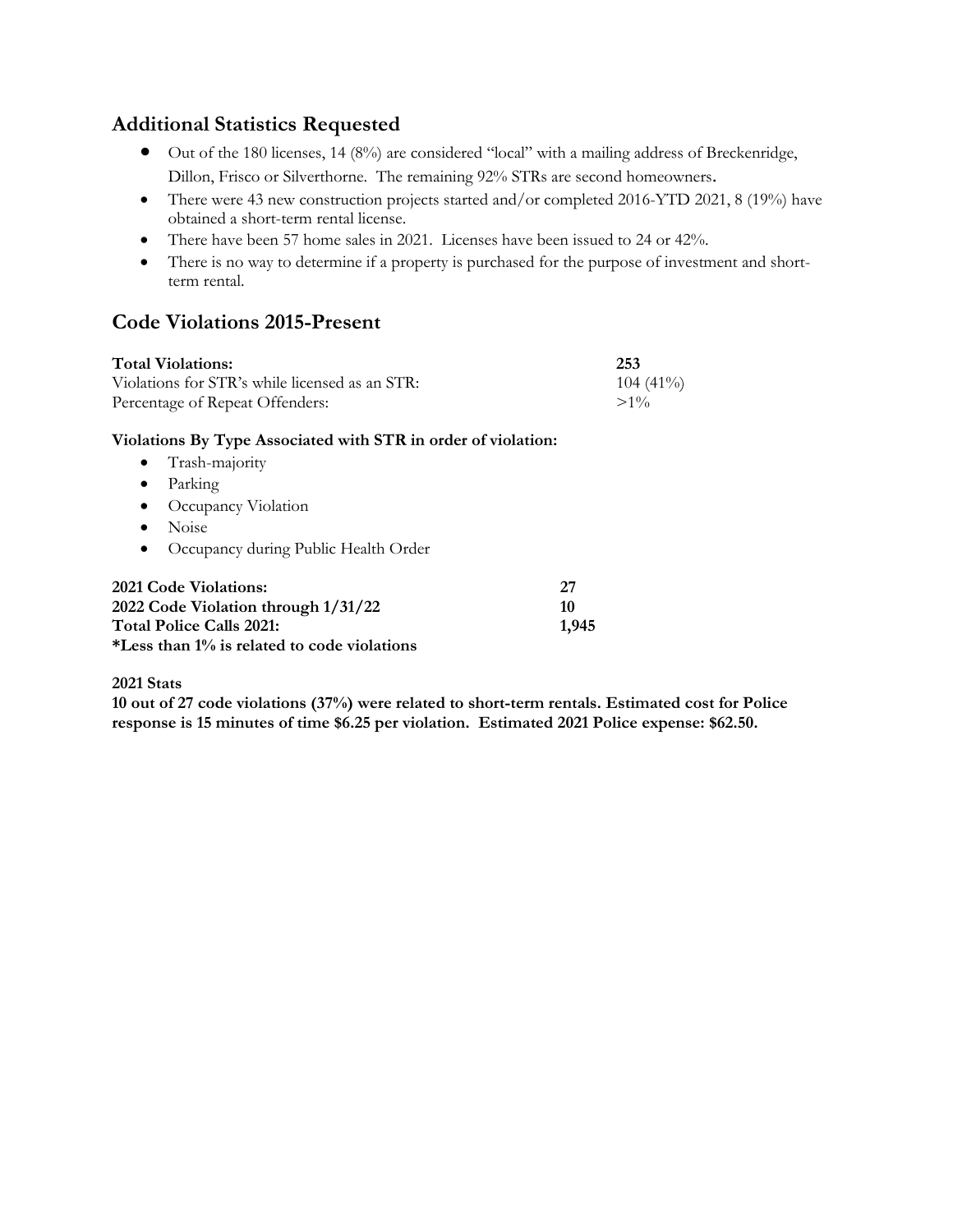## **Additional Statistics Requested**

- Out of the 180 licenses, 14 (8%) are considered "local" with a mailing address of Breckenridge, Dillon, Frisco or Silverthorne. The remaining 92% STRs are second homeowners.
- There were 43 new construction projects started and/or completed 2016-YTD 2021, 8 (19%) have obtained a short-term rental license.
- There have been 57 home sales in 2021. Licenses have been issued to 24 or 42%.
- There is no way to determine if a property is purchased for the purpose of investment and shortterm rental.

## **Code Violations 2015-Present**

| <b>Total Violations:</b>                       | 253         |
|------------------------------------------------|-------------|
| Violations for STR's while licensed as an STR: | $104(41\%)$ |
| Percentage of Repeat Offenders:                | $>1\%$      |

#### **Violations By Type Associated with STR in order of violation:**

- Trash-majority
- Parking
- Occupancy Violation
- Noise
- Occupancy during Public Health Order

| <b>2021 Code Violations:</b>                | -27   |
|---------------------------------------------|-------|
| 2022 Code Violation through 1/31/22         | 10    |
| <b>Total Police Calls 2021:</b>             | 1.945 |
| *Less than 1% is related to code violations |       |

#### **2021 Stats**

**10 out of 27 code violations (37%) were related to short-term rentals. Estimated cost for Police response is 15 minutes of time \$6.25 per violation. Estimated 2021 Police expense: \$62.50.**